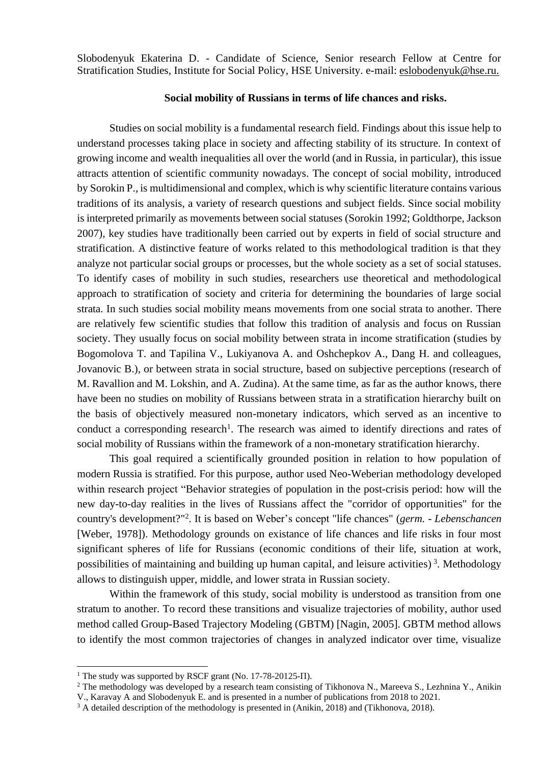Slobodenyuk Ekaterina D. - Candidate of Science, Senior research Fellow at Centre for Stratification Studies, Institute for Social Policy, HSE University. e-mail: [eslobodenyuk@hse.ru.](mailto:eslobodenyuk@hse.ru)

## **Social mobility of Russians in terms of life chances and risks.**

Studies on social mobility is a fundamental research field. Findings about this issue help to understand processes taking place in society and affecting stability of its structure. In context of growing income and wealth inequalities all over the world (and in Russia, in particular), this issue attracts attention of scientific community nowadays. The concept of social mobility, introduced by Sorokin P., is multidimensional and complex, which is why scientific literature contains various traditions of its analysis, a variety of research questions and subject fields. Since social mobility is interpreted primarily as movements between social statuses (Sorokin 1992; Goldthorpe, Jackson 2007), key studies have traditionally been carried out by experts in field of social structure and stratification. A distinctive feature of works related to this methodological tradition is that they analyze not particular social groups or processes, but the whole society as a set of social statuses. To identify cases of mobility in such studies, researchers use theoretical and methodological approach to stratification of society and criteria for determining the boundaries of large social strata. In such studies social mobility means movements from one social strata to another. There are relatively few scientific studies that follow this tradition of analysis and focus on Russian society. They usually focus on social mobility between strata in income stratification (studies by Bogomolova T. and Tapilina V., Lukiyanova A. and Oshchepkov A., Dang H. and colleagues, Jovanovic B.), or between strata in social structure, based on subjective perceptions (research of M. Ravallion and M. Lokshin, and A. Zudina). At the same time, as far as the author knows, there have been no studies on mobility of Russians between strata in a stratification hierarchy built on the basis of objectively measured non-monetary indicators, which served as an incentive to conduct a corresponding research<sup>1</sup>. The research was aimed to identify directions and rates of social mobility of Russians within the framework of a non-monetary stratification hierarchy.

This goal required a scientifically grounded position in relation to how population of modern Russia is stratified. For this purpose, author used Neo-Weberian methodology developed within research project "Behavior strategies of population in the post-crisis period: how will the new day-to-day realities in the lives of Russians affect the "corridor of opportunities" for the country's development?" 2 . It is based on Weber's concept "life chances" (*germ. - Lebenschancen* [Weber, 1978]). Methodology grounds on existance of life chances and life risks in four most significant spheres of life for Russians (economic conditions of their life, situation at work, possibilities of maintaining and building up human capital, and leisure activities)<sup>3</sup>. Methodology allows to distinguish upper, middle, and lower strata in Russian society.

Within the framework of this study, social mobility is understood as transition from one stratum to another. To record these transitions and visualize trajectories of mobility, author used method called Group-Based Trajectory Modeling (GBTM) [Nagin, 2005]. GBTM method allows to identify the most common trajectories of changes in analyzed indicator over time, visualize

<sup>&</sup>lt;sup>1</sup> The study was supported by RSCF grant (No. 17-78-20125- $\Pi$ ).

<sup>&</sup>lt;sup>2</sup> The methodology was developed by a research team consisting of Tikhonova N., Mareeva S., Lezhnina Y., Anikin

V., Karavay A and Slobodenyuk E. and is presented in a number of publications from 2018 to 2021.

<sup>&</sup>lt;sup>3</sup> A detailed description of the methodology is presented in (Anikin, 2018) and (Tikhonova, 2018).